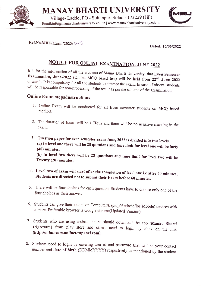

MANAV BHARTI UNIVERSITY  $A$ N $A$ V $B$ H $A$ K $I$ I UNIVENSIII $\overline{A}$  MBU

Email:info@manavbhartiuniversity.edu.in | www.manavbhartiuniversity.edu.in



 $Ref.No.MBU/Exam/2022/3co3$  Dated: 16/06/2022

NOTICE FOR ONLINE EXAMINATION, JUNE 2022<br>It is for the information of all the students of Manav Bharti University, that Even Semester **Examination, June-2022** (Online MCQ based test) will be held from  $22^{nd}$  June 2022 onwards. It is compulsory for all the students to attempt the exam. In case of absent, students will be responsible for non-processing o

### Online Exam steps/instructions

- 1. Online Exam will be conducted for all Even semester students on MCQ based method.
- 2. The duration of Exam will be 1 Hour and there will be no negative marking in the exam.
- 3. Question paper for even semester exam June, 2022 is divided into two levels. (a) In level one there will be 25 questions and time limit for level one will be forty (40) minutes.

(b) In level two there will be 25 questions and time limit for level two will be Twenty (20) minutes.

# 4. Level two of exam will start after the completion of level one i.e after 40 minutes, Students are directed not to submit their Exam before 60 minutes.

- 5. There will be four choices for each question. Students have to choose only one of the four choices as their answer.
- 6. Students can give their exams on Computer/Laptop/Android/ios(Mobile) devices with camera. Preferable browser is Google chrome(Updated Version).
- 7. Students who are using android phone should download the app (Manav Bharti trigrexam) from play store and others need to login by click on the link (http://mbuexam.onlinetestpanel.com).
- 8. Students need to login by entering user id and password that will be your contact number and date of birth (DDMMYYYY) respectively as mentioned by the student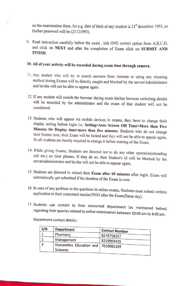on the examination form. for e.g. date of birth of any student is  $21<sup>st</sup>$  december 1993, so his/her password will be (21121993).

9. Read instruction carefully before the exam, tick ONE correct option from A,B,C,D, and click on NEXT and after the completion of Exam click on SUBMIT AND FINISH.

### 10. All of your activity will be recorded during exam time through camera.

- T1. Any student who will try to search answers from internet or using any cheating method during Exams will be directly caught and blocked by the server/Administrator and he/she will not be able to appear again.
- 12. If any student will switch the browser during exam his/her browser switching details will be recorded by the administrator and the exam of that student will not be considered.
- 13. Students who will appear via mobile devices in exams, they have to change their display setting before login i.e. Setting>Auto Screen Off Time>More than Five Minutes Or Display time>more than five minutes. Students who do not change their Screen time, their Exam will be locked and they will not be able to appear again, So all students are hereby required to change it before starting of the Exam.
- 14. While giving Exams, Students are directed not to do any other operation(attending call etc.) on thier phones, If they do so, then Student's id will be blocked by the server/administrator and he/she will not be able to
- 15. Students are directed to submit their **Exam after 60 minutes** after login. Exam will automatically get submitted if the duration of the Exam is over.
- 16. In case of any problem in the questions in online exams, Students must submit written application to their concerned teacher/HOD after the Exam(Same day).
- 17. Students can contact to their concerned department (as mentioned below) regarding their queries related to online examination between 10:00 am to 4:00 pm.

Department contact details:

| S/N | <b>Department</b>                     | <b>Contact Number</b> |
|-----|---------------------------------------|-----------------------|
|     | Pharmacy                              | 8278758257            |
|     | Management                            | 8219909435            |
|     | Humanities Education and   7018082149 |                       |
|     | Sciences                              |                       |